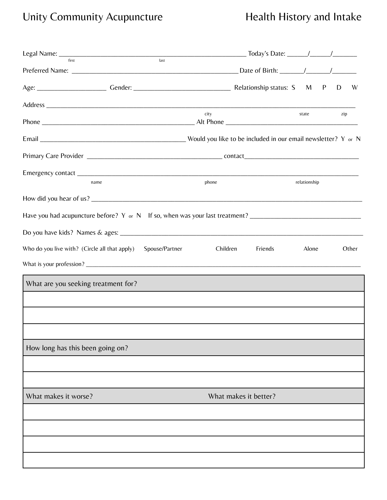# Unity Community Acupuncture **Health History and Intake**

| last<br>first                                                                                                  |                       |              |     |       |
|----------------------------------------------------------------------------------------------------------------|-----------------------|--------------|-----|-------|
|                                                                                                                |                       |              |     |       |
|                                                                                                                |                       |              | D   | W     |
|                                                                                                                |                       |              |     |       |
|                                                                                                                | city                  | state        | zip |       |
|                                                                                                                |                       |              |     |       |
|                                                                                                                |                       |              |     |       |
| name                                                                                                           | phone                 | relationship |     |       |
|                                                                                                                |                       |              |     |       |
| Have you had acupuncture before? Y or N If so, when was your last treatment? _________________________________ |                       |              |     |       |
|                                                                                                                |                       |              |     |       |
| Who do you live with? (Circle all that apply)<br>Spouse/Partner                                                | Children<br>Friends   | Alone        |     | Other |
|                                                                                                                |                       |              |     |       |
| What are you seeking treatment for?                                                                            |                       |              |     |       |
|                                                                                                                |                       |              |     |       |
|                                                                                                                |                       |              |     |       |
|                                                                                                                |                       |              |     |       |
| How long has this been going on?                                                                               |                       |              |     |       |
|                                                                                                                |                       |              |     |       |
|                                                                                                                |                       |              |     |       |
| What makes it worse?                                                                                           | What makes it better? |              |     |       |
|                                                                                                                |                       |              |     |       |
|                                                                                                                |                       |              |     |       |
|                                                                                                                |                       |              |     |       |
|                                                                                                                |                       |              |     |       |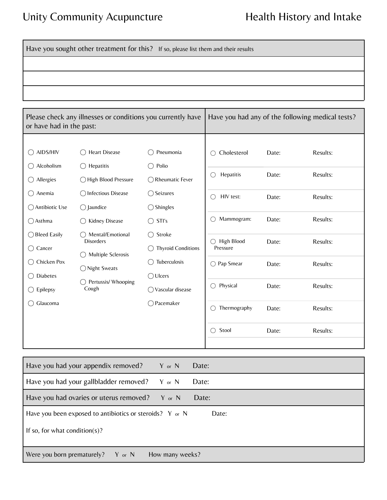### Unity Community Acupuncture **Health History and Intake**

Have you sought other treatment for this? If so, please list them and their results

| Please check any illnesses or conditions you currently have<br>or have had in the past: |                                                                                 | Have you had any of the following medical tests? |                  |       |          |
|-----------------------------------------------------------------------------------------|---------------------------------------------------------------------------------|--------------------------------------------------|------------------|-------|----------|
|                                                                                         |                                                                                 |                                                  |                  |       |          |
| AIDS/HIV                                                                                | Heart Disease                                                                   | Pneumonia                                        | Cholesterol<br>∩ | Date: | Results: |
| Alcoholism                                                                              | $\bigcirc$ Hepatitis                                                            | Polio                                            |                  |       |          |
| Allergies<br>( )                                                                        | ◯ High Blood Pressure                                                           | <b>Rheumatic Fever</b>                           | Hepatitis<br>O   | Date: | Results: |
| Anemia                                                                                  | ◯ Infectious Disease                                                            | ◯ Seizures                                       | HIV test:        | Date: | Results: |
| ◯ Antibiotic Use                                                                        | $\bigcap$ Jaundice                                                              | $\bigcirc$ Shingles                              |                  |       |          |
| $\bigcap$ Asthma                                                                        | Kidney Disease                                                                  | STI's<br>$\bigcap$                               | Mammogram:       | Date: | Results: |
| ◯ Bleed Easily                                                                          | Mental/Emotional<br>$\bigcirc$ Stroke<br><b>Disorders</b><br>Multiple Sclerosis |                                                  | High Blood       | Date: | Results: |
| Cancer<br>()                                                                            |                                                                                 | <b>Thyroid Conditions</b>                        | Pressure         |       |          |
| Chicken Pox                                                                             | ◯ Night Sweats                                                                  | Tuberculosis                                     | ○ Pap Smear      | Date: | Results: |
| Diabetes                                                                                |                                                                                 | $\bigcirc$ Ulcers                                |                  |       |          |
| Epilepsy<br>()                                                                          | Pertussis/ Whooping<br>Cough                                                    | ◯ Vascular disease                               | Physical         | Date: | Results: |
| Glaucoma                                                                                |                                                                                 | ◯ Pacemaker                                      | Thermography     | Date: | Results: |
|                                                                                         |                                                                                 |                                                  | Stool<br>∩       | Date: | Results: |
|                                                                                         |                                                                                 |                                                  |                  |       |          |

| Have you had your appendix removed?                      | Y or N          | Date: |
|----------------------------------------------------------|-----------------|-------|
| Have you had your gallbladder removed?                   | $Y$ or $N$      | Date: |
| Have you had ovaries or uterus removed?                  | $Y$ or $N$      | Date: |
| Have you been exposed to antibiotics or steroids? Y or N |                 | Date: |
| If so, for what condition(s)?                            |                 |       |
| Were you born prematurely?<br>Y or N                     | How many weeks? |       |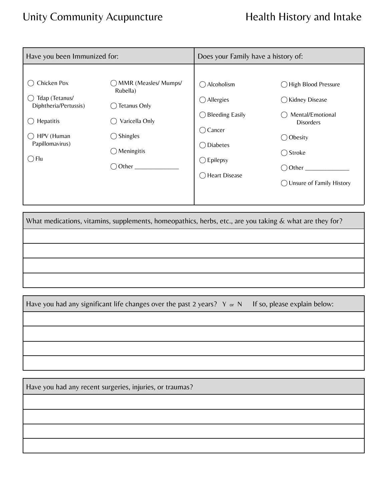## Unity Community Acupuncture **Health History and Intake**

| Have you been Immunized for:                                                                                           |                                                                                                                          | Does your Family have a history of:                                                                                                                                                                                                                             |                                                                                                                                                                                         |  |
|------------------------------------------------------------------------------------------------------------------------|--------------------------------------------------------------------------------------------------------------------------|-----------------------------------------------------------------------------------------------------------------------------------------------------------------------------------------------------------------------------------------------------------------|-----------------------------------------------------------------------------------------------------------------------------------------------------------------------------------------|--|
| Chicken Pox<br>Tdap (Tetanus/<br>Diphtheria/Pertussis)<br>Hepatitis<br>HPV (Human<br>Papillomavirus)<br>$\bigcirc$ Flu | ◯ MMR (Measles/ Mumps/<br>Rubella)<br>Tetanus Only<br>Varicella Only<br>Shingles<br>( )<br>Meningitis<br>$($ )<br>Other_ | $\bigcap$ Alcoholism<br>$\bigcirc$ Allergies<br><b>Bleeding Easily</b><br>$\left( \begin{array}{c} \end{array} \right)$<br>$\bigcirc$ Cancer<br><b>Diabetes</b><br>$\left( \begin{array}{c} \end{array} \right)$<br>$\bigcirc$ Epilepsy<br>Heart Disease<br>( ) | ◯ High Blood Pressure<br>◯ Kidney Disease<br>Mental/Emotional<br><b>Disorders</b><br>$\bigcirc$ Obesity<br>$\bigcirc$ Stroke<br>$\bigcirc$ Other<br>$\bigcirc$ Unsure of Family History |  |

What medications, vitamins, supplements, homeopathics, herbs, etc., are you taking & what are they for?

Have you had any significant life changes over the past 2 years? Y or N If so, please explain below:

Have you had any recent surgeries, injuries, or traumas?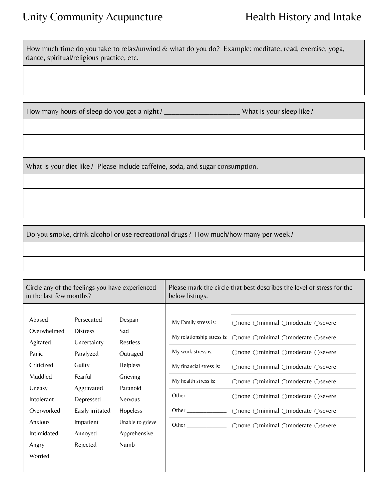How much time do you take to relax/unwind & what do you do? Example: meditate, read, exercise, yoga, dance, spiritual/religious practice, etc.

How many hours of sleep do you get a night? \_\_\_\_\_\_\_\_\_\_\_\_\_\_\_\_\_\_\_\_\_\_\_\_\_\_What is your sleep like?

What is your diet like? Please include caffeine, soda, and sugar consumption.

Do you smoke, drink alcohol or use recreational drugs? How much/how many per week?

| Circle any of the feelings you have experienced<br>in the last few months?                                                                              |                                                                                                                                                                   |                                                                                                                                               | Please mark the circle that best describes the level of stress for the<br>below listings.                                                                                                                                                                                                                                                                                                    |                                                                                                                                                                                                                                                                                                                                                                              |
|---------------------------------------------------------------------------------------------------------------------------------------------------------|-------------------------------------------------------------------------------------------------------------------------------------------------------------------|-----------------------------------------------------------------------------------------------------------------------------------------------|----------------------------------------------------------------------------------------------------------------------------------------------------------------------------------------------------------------------------------------------------------------------------------------------------------------------------------------------------------------------------------------------|------------------------------------------------------------------------------------------------------------------------------------------------------------------------------------------------------------------------------------------------------------------------------------------------------------------------------------------------------------------------------|
| Abused<br>Overwhelmed<br>Agitated<br>Panic<br>Criticized<br>Muddled<br>Uneasy<br>Intolerant<br>Overworked<br>Anxious<br>Intimidated<br>Angry<br>Worried | Persecuted<br><b>Distress</b><br>Uncertainty<br>Paralyzed<br>Guilty<br>Fearful<br>Aggravated<br>Depressed<br>Easily irritated<br>Impatient<br>Annoyed<br>Rejected | Despair<br>Sad<br>Restless<br>Outraged<br>Helpless<br>Grieving<br>Paranoid<br>Nervous<br>Hopeless<br>Unable to grieve<br>Apprehensive<br>Numb | My Family stress is:<br>My relationship stress is:<br>My work stress is:<br>My financial stress is:<br>My health stress is:<br>Other <b>Communist Communist Communist Communist Communist Communist Communist Communist Communist Communist Communist Communist Communist Communist Communist Communist Communist Communist Communist Communist Communist Commu</b><br>Other $\qquad \qquad$ | ○none ○minimal ○moderate ○severe<br>○none ○minimal ○moderate ○severe<br>$\bigcirc$ none $\bigcirc$ minimal $\bigcirc$ moderate $\bigcirc$ severe<br>○none ○minimal ○moderate ○severe<br>○none ○minimal ○moderate ○severe<br>○none ○minimal ○moderate ○severe<br>$\bigcirc$ none $\bigcirc$ minimal $\bigcirc$ moderate $\bigcirc$ severe<br>○none ○minimal ○moderate ○severe |
|                                                                                                                                                         |                                                                                                                                                                   |                                                                                                                                               |                                                                                                                                                                                                                                                                                                                                                                                              |                                                                                                                                                                                                                                                                                                                                                                              |